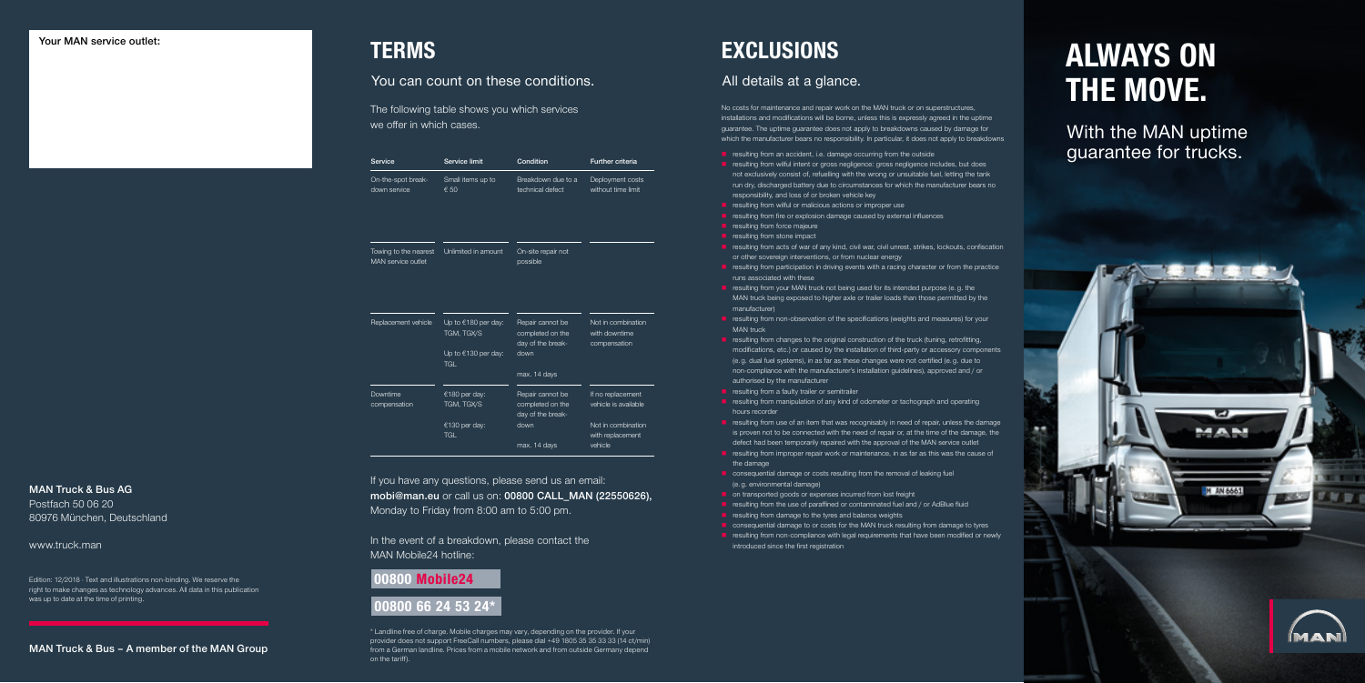Edition: 12/2018 · Text and illustrations non-binding. We reserve the right to make changes as technology advances. All data in this publication was up to date at the time of printing.

### MAN Truck & Bus AG

Postfach 50 06 20 80976 München, Deutschland

### www.truck.man

### MAN Truck & Bus – A member of the MAN Group

With the MAN uptime guarantee for trucks.

MAN

M AN 6661



**ALCOHOL** 

## **ALWAYS ON THE MOVE.**

- $\blacksquare$  resulting from an accident, i.e. damage occurring from the outside
- **r** resulting from wilful intent or gross negligence: gross negligence includes, but does not exclusively consist of, refuelling with the wrong or unsuitable fuel, letting the tank run dry, discharged battery due to circumstances for which the manufacturer bears no responsibility, and loss of or broken vehicle key
- $\blacksquare$  resulting from wilful or malicious actions or improper use
- $\blacksquare$  resulting from fire or explosion damage caused by external influences
- $\blacksquare$  resulting from force majeure
- resulting from stone impact
- **resulting from acts of war of any kind, civil war, civil unrest, strikes, lockouts, confiscation** or other sovereign interventions, or from nuclear energy
- **F** resulting from participation in driving events with a racing character or from the practice runs associated with these
- **r** resulting from your MAN truck not being used for its intended purpose (e.g. the MAN truck being exposed to higher axle or trailer loads than those permitted by the manufacturer)
- **F** resulting from non-observation of the specifications (weights and measures) for your MAN truck
- **F** resulting from changes to the original construction of the truck (tuning, retrofitting, modifications, etc.) or caused by the installation of third-party or accessory components (e. g. dual fuel systems), in as far as these changes were not certified (e. g. due to non-compliance with the manufacturer's installation guidelines), approved and / or authorised by the manufacturer
- **resulting from a faulty trailer or semitrailer**
- **F** resulting from manipulation of any kind of odometer or tachograph and operating hours recorder
- **T** resulting from use of an item that was recognisably in need of repair, unless the damage is proven not to be connected with the need of repair or, at the time of the damage, the defect had been temporarily repaired with the approval of the MAN service outlet
- **resulting from improper repair work or maintenance, in as far as this was the cause of** the damage
- **Consequential damage or costs resulting from the removal of leaking fuel** (e. g. environmental damage)
- **n** on transported goods or expenses incurred from lost freight
- **F** resulting from the use of paraffined or contaminated fuel and / or AdBlue fluid
- $\blacksquare$  resulting from damage to the tyres and balance weights
- consequential damage to or costs for the MAN truck resulting from damage to tyres
- **R** resulting from non-compliance with legal requirements that have been modified or newly introduced since the first registration

If you have any questions, please send us an email: mobi@man.eu or call us on: 00800 CALL\_MAN (22550626), Monday to Friday from 8:00 am to 5:00 pm.

No costs for maintenance and repair work on the MAN truck or on superstructures, installations and modifications will be borne, unless this is expressly agreed in the uptime guarantee. The uptime guarantee does not apply to breakdowns caused by damage for which the manufacturer bears no responsibility. In particular, it does not apply to breakdowns

### All details at a glance.

## **EXCLUSIONS**

### You can count on these conditions.

## **TERMS**

The following table shows you which services we offer in which cases.

| Service                                     | Service limit                                                | Condition                                                         | Further criteria                                    |
|---------------------------------------------|--------------------------------------------------------------|-------------------------------------------------------------------|-----------------------------------------------------|
| On-the-spot break-<br>down service          | Small items up to<br>€ 50                                    | Breakdown due to a<br>technical defect                            | Deployment costs<br>without time limit              |
| Towing to the nearest<br>MAN service outlet | Unlimited in amount                                          | On-site repair not<br>possible                                    |                                                     |
| Replacement vehicle                         | Up to $€180$ per day:<br>TGM, TGX/S<br>Up to $€130$ per day: | Repair cannot be<br>completed on the<br>day of the break-<br>down | Not in combination<br>with downtime<br>compensation |
|                                             | <b>TGI</b>                                                   | max. 14 days                                                      |                                                     |
| Downtime<br>compensation                    | €180 per day:<br>TGM, TGX/S                                  | Repair cannot be<br>completed on the<br>day of the break-         | If no replacement<br>vehicle is available           |
|                                             | €130 per day:                                                | down                                                              | Not in combination                                  |

TGL

max. 14 days

with replacement vehicle

\* Landline free of charge. Mobile charges may vary, depending on the provider. If your provider does not support FreeCall numbers, please dial +49 1805 35 35 33 33 (14 ct/min) from a German landline. Prices from a mobile network and from outside Germany depend on the tariff).

### **00800 Mobile24 00800 66 24 53 24\***

In the event of a breakdown, please contact the MAN Mobile24 hotline: